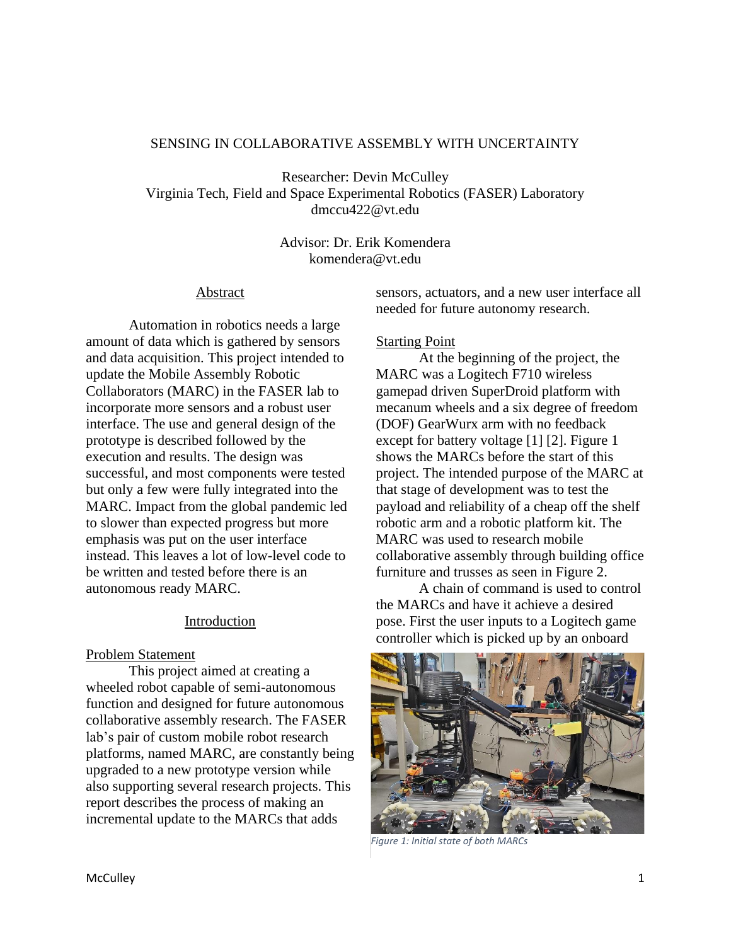## SENSING IN COLLABORATIVE ASSEMBLY WITH UNCERTAINTY

Researcher: Devin McCulley Virginia Tech, Field and Space Experimental Robotics (FASER) Laboratory dmccu422@vt.edu

> Advisor: Dr. Erik Komendera komendera@vt.edu

### Abstract

Automation in robotics needs a large amount of data which is gathered by sensors and data acquisition. This project intended to update the Mobile Assembly Robotic Collaborators (MARC) in the FASER lab to incorporate more sensors and a robust user interface. The use and general design of the prototype is described followed by the execution and results. The design was successful, and most components were tested but only a few were fully integrated into the MARC. Impact from the global pandemic led to slower than expected progress but more emphasis was put on the user interface instead. This leaves a lot of low-level code to be written and tested before there is an autonomous ready MARC.

# Introduction

### Problem Statement

This project aimed at creating a wheeled robot capable of semi-autonomous function and designed for future autonomous collaborative assembly research. The FASER lab's pair of custom mobile robot research platforms, named MARC, are constantly being upgraded to a new prototype version while also supporting several research projects. This report describes the process of making an incremental update to the MARCs that adds

sensors, actuators, and a new user interface all needed for future autonomy research.

## Starting Point

At the beginning of the project, the MARC was a Logitech F710 wireless gamepad driven SuperDroid platform with mecanum wheels and a six degree of freedom (DOF) GearWurx arm with no feedback except for battery voltage [1] [2]. Figure 1 shows the MARCs before the start of this project. The intended purpose of the MARC at that stage of development was to test the payload and reliability of a cheap off the shelf robotic arm and a robotic platform kit. The MARC was used to research mobile collaborative assembly through building office furniture and trusses as seen in Figure 2.

A chain of command is used to control the MARCs and have it achieve a desired pose. First the user inputs to a Logitech game controller which is picked up by an onboard



*Figure 1: Initial state of both MARCs*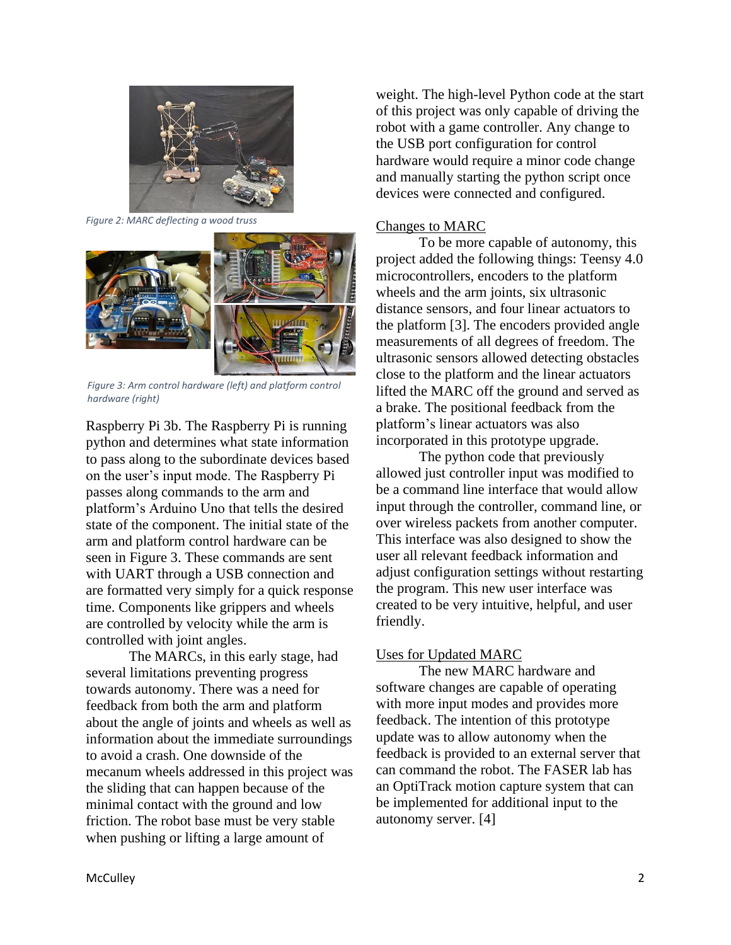

*Figure 2: MARC deflecting a wood truss*



*Figure 3: Arm control hardware (left) and platform control hardware (right)*

Raspberry Pi 3b. The Raspberry Pi is running python and determines what state information to pass along to the subordinate devices based on the user's input mode. The Raspberry Pi passes along commands to the arm and platform's Arduino Uno that tells the desired state of the component. The initial state of the arm and platform control hardware can be seen in Figure 3. These commands are sent with UART through a USB connection and are formatted very simply for a quick response time. Components like grippers and wheels are controlled by velocity while the arm is controlled with joint angles.

The MARCs, in this early stage, had several limitations preventing progress towards autonomy. There was a need for feedback from both the arm and platform about the angle of joints and wheels as well as information about the immediate surroundings to avoid a crash. One downside of the mecanum wheels addressed in this project was the sliding that can happen because of the minimal contact with the ground and low friction. The robot base must be very stable when pushing or lifting a large amount of

weight. The high-level Python code at the start of this project was only capable of driving the robot with a game controller. Any change to the USB port configuration for control hardware would require a minor code change and manually starting the python script once devices were connected and configured.

### Changes to MARC

To be more capable of autonomy, this project added the following things: Teensy 4.0 microcontrollers, encoders to the platform wheels and the arm joints, six ultrasonic distance sensors, and four linear actuators to the platform [3]. The encoders provided angle measurements of all degrees of freedom. The ultrasonic sensors allowed detecting obstacles close to the platform and the linear actuators lifted the MARC off the ground and served as a brake. The positional feedback from the platform's linear actuators was also incorporated in this prototype upgrade.

The python code that previously allowed just controller input was modified to be a command line interface that would allow input through the controller, command line, or over wireless packets from another computer. This interface was also designed to show the user all relevant feedback information and adjust configuration settings without restarting the program. This new user interface was created to be very intuitive, helpful, and user friendly.

# Uses for Updated MARC

The new MARC hardware and software changes are capable of operating with more input modes and provides more feedback. The intention of this prototype update was to allow autonomy when the feedback is provided to an external server that can command the robot. The FASER lab has an OptiTrack motion capture system that can be implemented for additional input to the autonomy server. [4]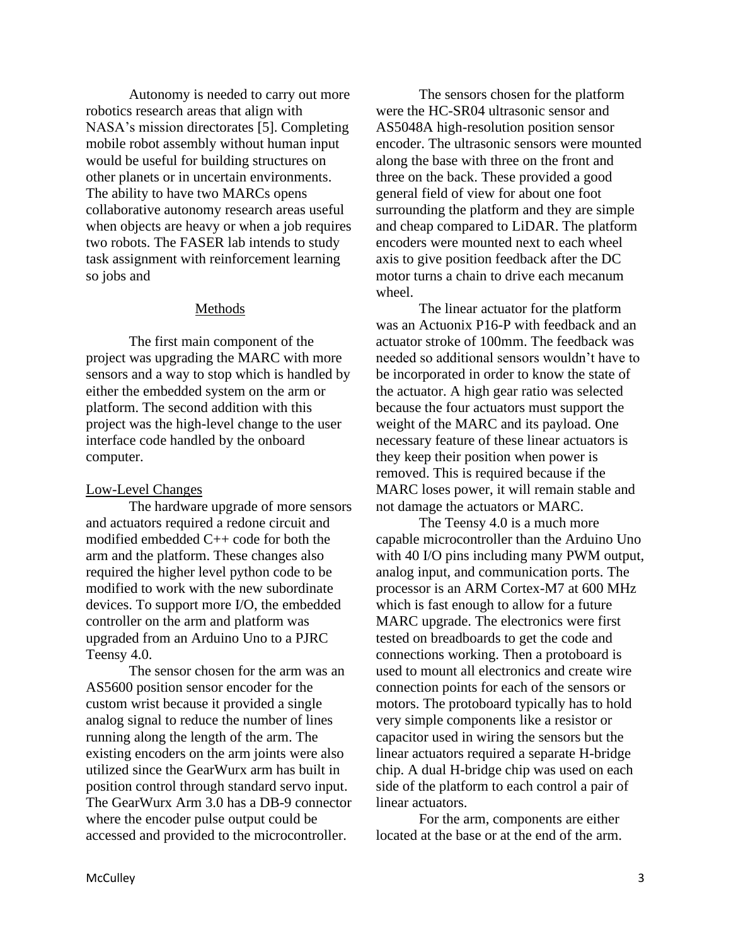Autonomy is needed to carry out more robotics research areas that align with NASA's mission directorates [5]. Completing mobile robot assembly without human input would be useful for building structures on other planets or in uncertain environments. The ability to have two MARCs opens collaborative autonomy research areas useful when objects are heavy or when a job requires two robots. The FASER lab intends to study task assignment with reinforcement learning so jobs and

## Methods

The first main component of the project was upgrading the MARC with more sensors and a way to stop which is handled by either the embedded system on the arm or platform. The second addition with this project was the high-level change to the user interface code handled by the onboard computer.

### Low-Level Changes

The hardware upgrade of more sensors and actuators required a redone circuit and modified embedded C++ code for both the arm and the platform. These changes also required the higher level python code to be modified to work with the new subordinate devices. To support more I/O, the embedded controller on the arm and platform was upgraded from an Arduino Uno to a PJRC Teensy 4.0.

The sensor chosen for the arm was an AS5600 position sensor encoder for the custom wrist because it provided a single analog signal to reduce the number of lines running along the length of the arm. The existing encoders on the arm joints were also utilized since the GearWurx arm has built in position control through standard servo input. The GearWurx Arm 3.0 has a DB-9 connector where the encoder pulse output could be accessed and provided to the microcontroller.

The sensors chosen for the platform were the HC-SR04 ultrasonic sensor and AS5048A high-resolution position sensor encoder. The ultrasonic sensors were mounted along the base with three on the front and three on the back. These provided a good general field of view for about one foot surrounding the platform and they are simple and cheap compared to LiDAR. The platform encoders were mounted next to each wheel axis to give position feedback after the DC motor turns a chain to drive each mecanum wheel.

The linear actuator for the platform was an Actuonix P16-P with feedback and an actuator stroke of 100mm. The feedback was needed so additional sensors wouldn't have to be incorporated in order to know the state of the actuator. A high gear ratio was selected because the four actuators must support the weight of the MARC and its payload. One necessary feature of these linear actuators is they keep their position when power is removed. This is required because if the MARC loses power, it will remain stable and not damage the actuators or MARC.

The Teensy 4.0 is a much more capable microcontroller than the Arduino Uno with 40 I/O pins including many PWM output, analog input, and communication ports. The processor is an ARM Cortex-M7 at 600 MHz which is fast enough to allow for a future MARC upgrade. The electronics were first tested on breadboards to get the code and connections working. Then a protoboard is used to mount all electronics and create wire connection points for each of the sensors or motors. The protoboard typically has to hold very simple components like a resistor or capacitor used in wiring the sensors but the linear actuators required a separate H-bridge chip. A dual H-bridge chip was used on each side of the platform to each control a pair of linear actuators.

For the arm, components are either located at the base or at the end of the arm.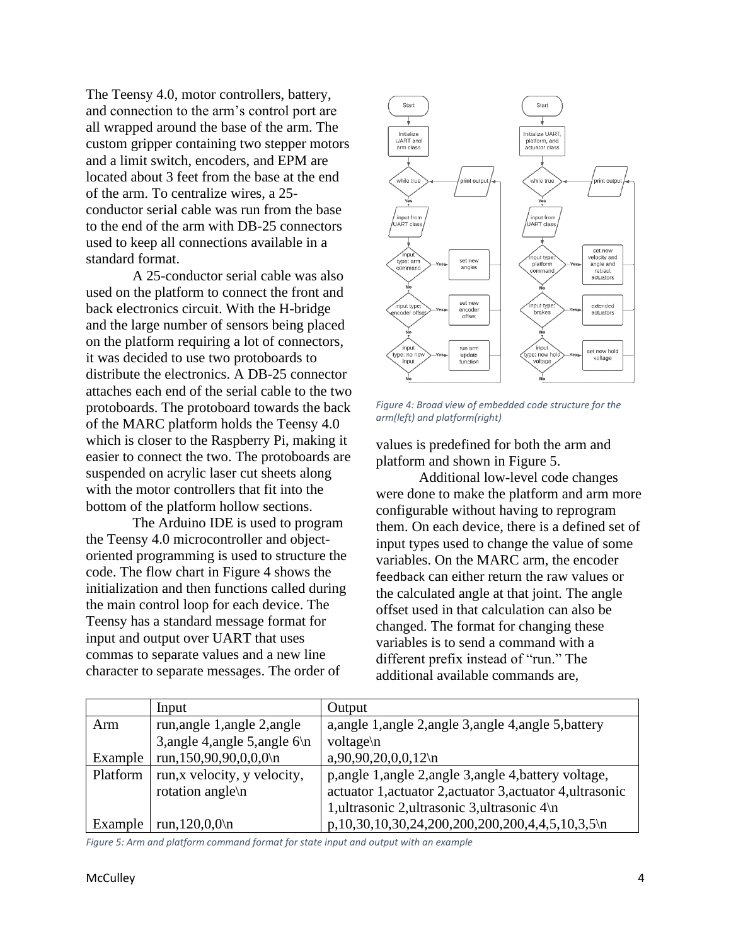The Teensy 4.0, motor controllers, battery, and connection to the arm's control port are all wrapped around the base of the arm. The custom gripper containing two stepper motors and a limit switch, encoders, and EPM are located about 3 feet from the base at the end of the arm. To centralize wires, a 25 conductor serial cable was run from the base to the end of the arm with DB-25 connectors used to keep all connections available in a standard format.

A 25-conductor serial cable was also used on the platform to connect the front and back electronics circuit. With the H-bridge and the large number of sensors being placed on the platform requiring a lot of connectors, it was decided to use two protoboards to distribute the electronics. A DB-25 connector attaches each end of the serial cable to the two protoboards. The protoboard towards the back of the MARC platform holds the Teensy 4.0 which is closer to the Raspberry Pi, making it easier to connect the two. The protoboards are suspended on acrylic laser cut sheets along with the motor controllers that fit into the bottom of the platform hollow sections.

The Arduino IDE is used to program the Teensy 4.0 microcontroller and objectoriented programming is used to structure the code. The flow chart in Figure 4 shows the initialization and then functions called during the main control loop for each device. The Teensy has a standard message format for input and output over UART that uses commas to separate values and a new line character to separate messages. The order of



*Figure 4: Broad view of embedded code structure for the arm(left) and platform(right)*

values is predefined for both the arm and platform and shown in Figure 5.

Additional low-level code changes were done to make the platform and arm more configurable without having to reprogram them. On each device, there is a defined set of input types used to change the value of some variables. On the MARC arm, the encoder feedback can either return the raw values or the calculated angle at that joint. The angle offset used in that calculation can also be changed. The format for changing these variables is to send a command with a different prefix instead of "run." The additional available commands are,

|          | Input                           | Output                                                     |  |  |
|----------|---------------------------------|------------------------------------------------------------|--|--|
| Arm      | run, angle 1, angle 2, angle    | a, angle 1, angle 2, angle 3, angle 4, angle 5, battery    |  |  |
|          | 3, angle 4, angle 5, angle $6\$ | voltage\n                                                  |  |  |
| Example  | run, 150, 90, 90, 0, 0, 0\n     | $a,90,90,20,0,0,12$ \n                                     |  |  |
| Platform | run, x velocity, y velocity,    | p, angle 1, angle 2, angle 3, angle 4, battery voltage,    |  |  |
|          | rotation angle\n                | actuator 1, actuator 2, actuator 3, actuator 4, ultrasonic |  |  |
|          |                                 | 1, ultrasonic 2, ultrasonic 3, ultrasonic 4\n              |  |  |
| Example  | run, $120,0,0 \n\rangle$ n      | p,10,30,10,30,24,200,200,200,200,4,4,5,10,3,5\n            |  |  |

*Figure 5: Arm and platform command format for state input and output with an example*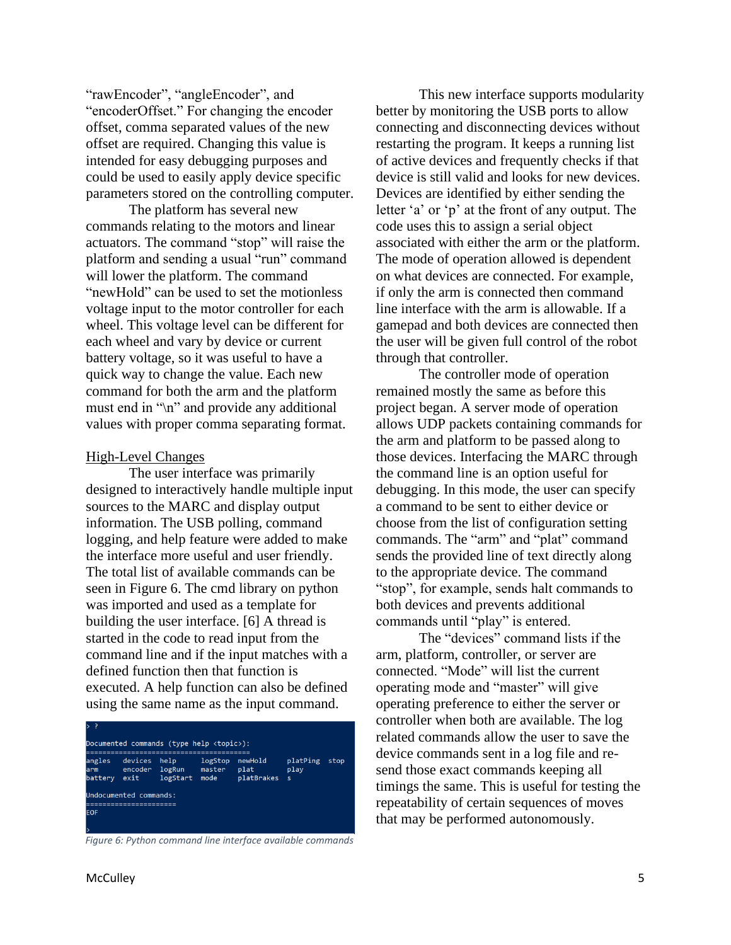"rawEncoder", "angleEncoder", and "encoderOffset." For changing the encoder offset, comma separated values of the new offset are required. Changing this value is intended for easy debugging purposes and could be used to easily apply device specific parameters stored on the controlling computer.

The platform has several new commands relating to the motors and linear actuators. The command "stop" will raise the platform and sending a usual "run" command will lower the platform. The command "newHold" can be used to set the motionless voltage input to the motor controller for each wheel. This voltage level can be different for each wheel and vary by device or current battery voltage, so it was useful to have a quick way to change the value. Each new command for both the arm and the platform must end in "\n" and provide any additional values with proper comma separating format.

#### High-Level Changes

The user interface was primarily designed to interactively handle multiple input sources to the MARC and display output information. The USB polling, command logging, and help feature were added to make the interface more useful and user friendly. The total list of available commands can be seen in Figure 6. The cmd library on python was imported and used as a template for building the user interface. [6] A thread is started in the code to read input from the command line and if the input matches with a defined function then that function is executed. A help function can also be defined using the same name as the input command.

| > ⊹                                                              |                                                      |                            |                           |                               |                              |      |  |  |
|------------------------------------------------------------------|------------------------------------------------------|----------------------------|---------------------------|-------------------------------|------------------------------|------|--|--|
| Documented commands (type help $\langle \text{topic} \rangle$ ): |                                                      |                            |                           |                               |                              |      |  |  |
| angles<br>arm<br>battery                                         | devices<br>encoder<br>exit<br>Undocumented commands: | help<br>logRun<br>logStart | logStop<br>master<br>mode | newHold<br>plat<br>platBrakes | platPing<br>play<br><b>S</b> | stop |  |  |
| <b>EOF</b>                                                       |                                                      |                            |                           |                               |                              |      |  |  |

*Figure 6: Python command line interface available commands*

This new interface supports modularity better by monitoring the USB ports to allow connecting and disconnecting devices without restarting the program. It keeps a running list of active devices and frequently checks if that device is still valid and looks for new devices. Devices are identified by either sending the letter 'a' or 'p' at the front of any output. The code uses this to assign a serial object associated with either the arm or the platform. The mode of operation allowed is dependent on what devices are connected. For example, if only the arm is connected then command line interface with the arm is allowable. If a gamepad and both devices are connected then the user will be given full control of the robot through that controller.

The controller mode of operation remained mostly the same as before this project began. A server mode of operation allows UDP packets containing commands for the arm and platform to be passed along to those devices. Interfacing the MARC through the command line is an option useful for debugging. In this mode, the user can specify a command to be sent to either device or choose from the list of configuration setting commands. The "arm" and "plat" command sends the provided line of text directly along to the appropriate device. The command "stop", for example, sends halt commands to both devices and prevents additional commands until "play" is entered.

The "devices" command lists if the arm, platform, controller, or server are connected. "Mode" will list the current operating mode and "master" will give operating preference to either the server or controller when both are available. The log related commands allow the user to save the device commands sent in a log file and resend those exact commands keeping all timings the same. This is useful for testing the repeatability of certain sequences of moves that may be performed autonomously.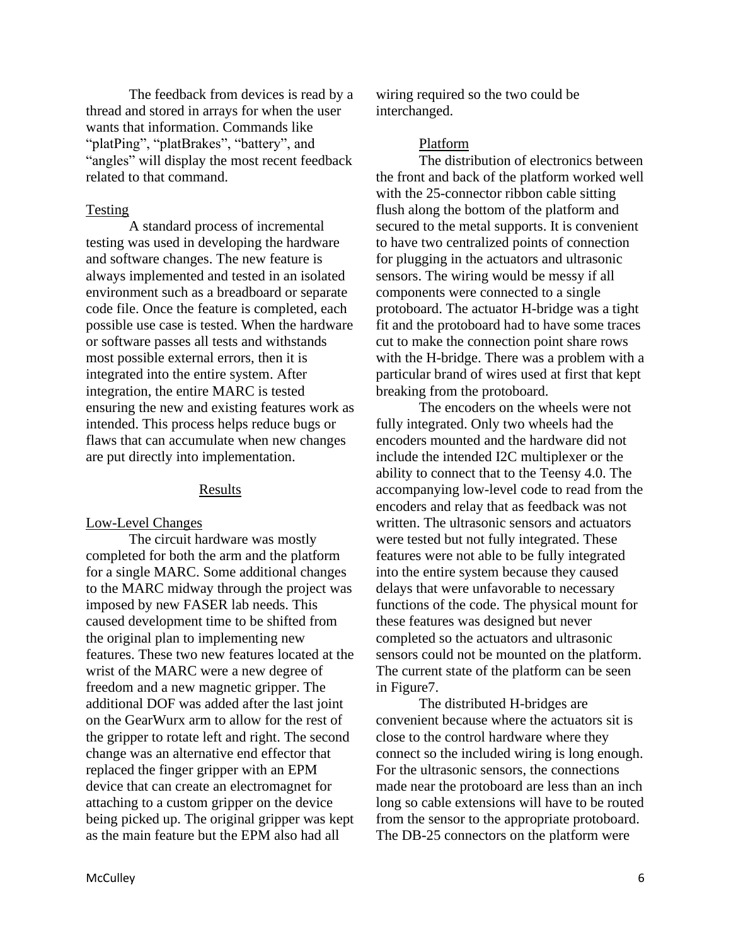The feedback from devices is read by a thread and stored in arrays for when the user wants that information. Commands like "platPing", "platBrakes", "battery", and "angles" will display the most recent feedback related to that command.

#### Testing

A standard process of incremental testing was used in developing the hardware and software changes. The new feature is always implemented and tested in an isolated environment such as a breadboard or separate code file. Once the feature is completed, each possible use case is tested. When the hardware or software passes all tests and withstands most possible external errors, then it is integrated into the entire system. After integration, the entire MARC is tested ensuring the new and existing features work as intended. This process helps reduce bugs or flaws that can accumulate when new changes are put directly into implementation.

#### Results

#### Low-Level Changes

The circuit hardware was mostly completed for both the arm and the platform for a single MARC. Some additional changes to the MARC midway through the project was imposed by new FASER lab needs. This caused development time to be shifted from the original plan to implementing new features. These two new features located at the wrist of the MARC were a new degree of freedom and a new magnetic gripper. The additional DOF was added after the last joint on the GearWurx arm to allow for the rest of the gripper to rotate left and right. The second change was an alternative end effector that replaced the finger gripper with an EPM device that can create an electromagnet for attaching to a custom gripper on the device being picked up. The original gripper was kept as the main feature but the EPM also had all

wiring required so the two could be interchanged.

#### Platform

The distribution of electronics between the front and back of the platform worked well with the 25-connector ribbon cable sitting flush along the bottom of the platform and secured to the metal supports. It is convenient to have two centralized points of connection for plugging in the actuators and ultrasonic sensors. The wiring would be messy if all components were connected to a single protoboard. The actuator H-bridge was a tight fit and the protoboard had to have some traces cut to make the connection point share rows with the H-bridge. There was a problem with a particular brand of wires used at first that kept breaking from the protoboard.

The encoders on the wheels were not fully integrated. Only two wheels had the encoders mounted and the hardware did not include the intended I2C multiplexer or the ability to connect that to the Teensy 4.0. The accompanying low-level code to read from the encoders and relay that as feedback was not written. The ultrasonic sensors and actuators were tested but not fully integrated. These features were not able to be fully integrated into the entire system because they caused delays that were unfavorable to necessary functions of the code. The physical mount for these features was designed but never completed so the actuators and ultrasonic sensors could not be mounted on the platform. The current state of the platform can be seen in Figure7.

The distributed H-bridges are convenient because where the actuators sit is close to the control hardware where they connect so the included wiring is long enough. For the ultrasonic sensors, the connections made near the protoboard are less than an inch long so cable extensions will have to be routed from the sensor to the appropriate protoboard. The DB-25 connectors on the platform were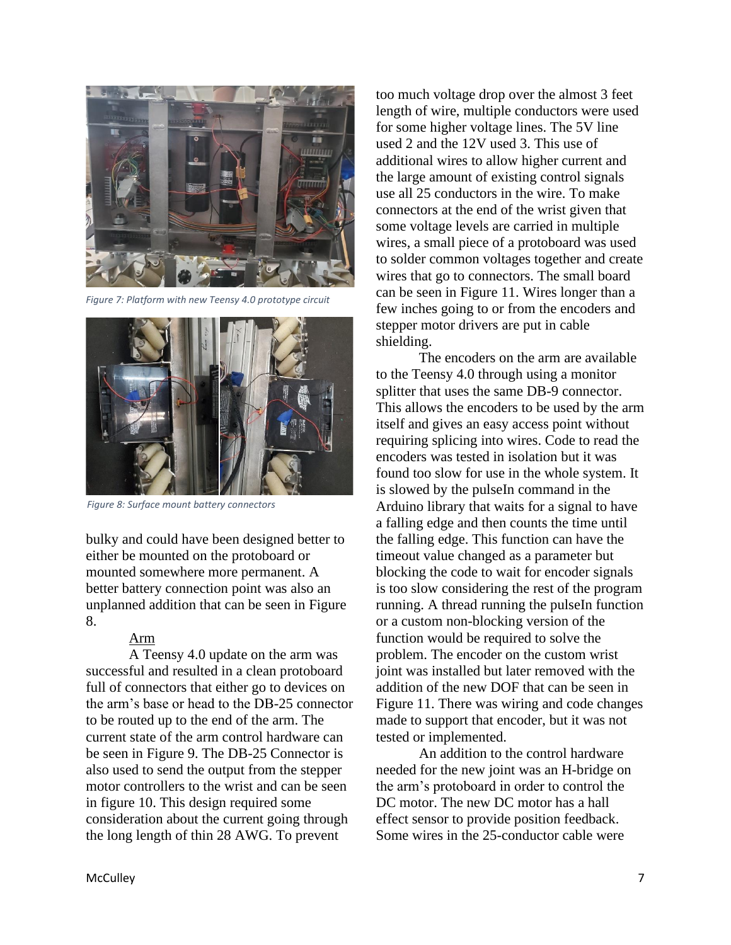

*Figure 7: Platform with new Teensy 4.0 prototype circuit*



*Figure 8: Surface mount battery connectors*

bulky and could have been designed better to either be mounted on the protoboard or mounted somewhere more permanent. A better battery connection point was also an unplanned addition that can be seen in Figure 8.

### Arm

A Teensy 4.0 update on the arm was successful and resulted in a clean protoboard full of connectors that either go to devices on the arm's base or head to the DB-25 connector to be routed up to the end of the arm. The current state of the arm control hardware can be seen in Figure 9. The DB-25 Connector is also used to send the output from the stepper motor controllers to the wrist and can be seen in figure 10. This design required some consideration about the current going through the long length of thin 28 AWG. To prevent

too much voltage drop over the almost 3 feet length of wire, multiple conductors were used for some higher voltage lines. The 5V line used 2 and the 12V used 3. This use of additional wires to allow higher current and the large amount of existing control signals use all 25 conductors in the wire. To make connectors at the end of the wrist given that some voltage levels are carried in multiple wires, a small piece of a protoboard was used to solder common voltages together and create wires that go to connectors. The small board can be seen in Figure 11. Wires longer than a few inches going to or from the encoders and stepper motor drivers are put in cable shielding.

The encoders on the arm are available to the Teensy 4.0 through using a monitor splitter that uses the same DB-9 connector. This allows the encoders to be used by the arm itself and gives an easy access point without requiring splicing into wires. Code to read the encoders was tested in isolation but it was found too slow for use in the whole system. It is slowed by the pulseIn command in the Arduino library that waits for a signal to have a falling edge and then counts the time until the falling edge. This function can have the timeout value changed as a parameter but blocking the code to wait for encoder signals is too slow considering the rest of the program running. A thread running the pulseIn function or a custom non-blocking version of the function would be required to solve the problem. The encoder on the custom wrist joint was installed but later removed with the addition of the new DOF that can be seen in Figure 11. There was wiring and code changes made to support that encoder, but it was not tested or implemented.

An addition to the control hardware needed for the new joint was an H-bridge on the arm's protoboard in order to control the DC motor. The new DC motor has a hall effect sensor to provide position feedback. Some wires in the 25-conductor cable were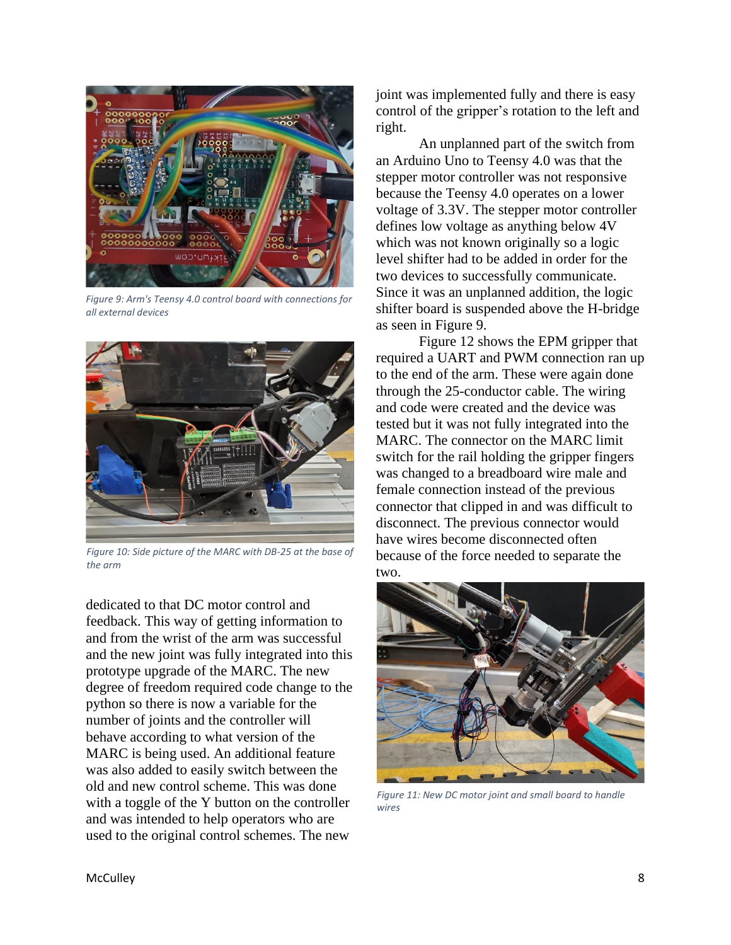

*Figure 9: Arm's Teensy 4.0 control board with connections for all external devices*



*Figure 10: Side picture of the MARC with DB-25 at the base of the arm*

dedicated to that DC motor control and feedback. This way of getting information to and from the wrist of the arm was successful and the new joint was fully integrated into this prototype upgrade of the MARC. The new degree of freedom required code change to the python so there is now a variable for the number of joints and the controller will behave according to what version of the MARC is being used. An additional feature was also added to easily switch between the old and new control scheme. This was done with a toggle of the Y button on the controller and was intended to help operators who are used to the original control schemes. The new

joint was implemented fully and there is easy control of the gripper's rotation to the left and right.

An unplanned part of the switch from an Arduino Uno to Teensy 4.0 was that the stepper motor controller was not responsive because the Teensy 4.0 operates on a lower voltage of 3.3V. The stepper motor controller defines low voltage as anything below 4V which was not known originally so a logic level shifter had to be added in order for the two devices to successfully communicate. Since it was an unplanned addition, the logic shifter board is suspended above the H-bridge as seen in Figure 9.

Figure 12 shows the EPM gripper that required a UART and PWM connection ran up to the end of the arm. These were again done through the 25-conductor cable. The wiring and code were created and the device was tested but it was not fully integrated into the MARC. The connector on the MARC limit switch for the rail holding the gripper fingers was changed to a breadboard wire male and female connection instead of the previous connector that clipped in and was difficult to disconnect. The previous connector would have wires become disconnected often because of the force needed to separate the two.



*Figure 11: New DC motor joint and small board to handle wires*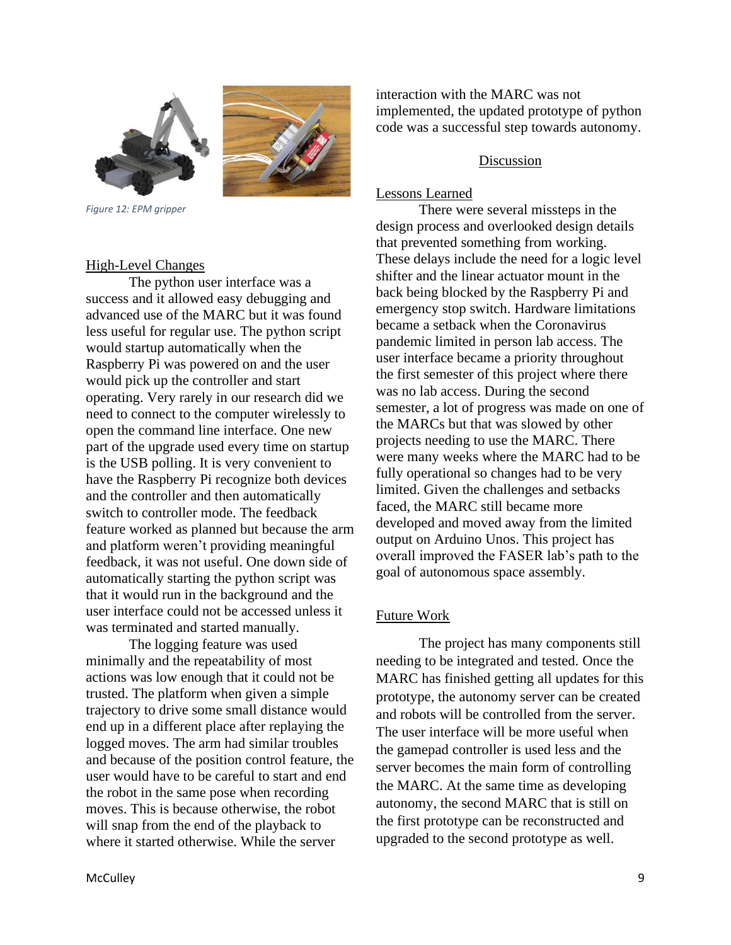

*Figure 12: EPM gripper*

#### High-Level Changes

The python user interface was a success and it allowed easy debugging and advanced use of the MARC but it was found less useful for regular use. The python script would startup automatically when the Raspberry Pi was powered on and the user would pick up the controller and start operating. Very rarely in our research did we need to connect to the computer wirelessly to open the command line interface. One new part of the upgrade used every time on startup is the USB polling. It is very convenient to have the Raspberry Pi recognize both devices and the controller and then automatically switch to controller mode. The feedback feature worked as planned but because the arm and platform weren't providing meaningful feedback, it was not useful. One down side of automatically starting the python script was that it would run in the background and the user interface could not be accessed unless it was terminated and started manually.

The logging feature was used minimally and the repeatability of most actions was low enough that it could not be trusted. The platform when given a simple trajectory to drive some small distance would end up in a different place after replaying the logged moves. The arm had similar troubles and because of the position control feature, the user would have to be careful to start and end the robot in the same pose when recording moves. This is because otherwise, the robot will snap from the end of the playback to where it started otherwise. While the server

interaction with the MARC was not implemented, the updated prototype of python code was a successful step towards autonomy.

### Discussion

#### Lessons Learned

There were several missteps in the design process and overlooked design details that prevented something from working. These delays include the need for a logic level shifter and the linear actuator mount in the back being blocked by the Raspberry Pi and emergency stop switch. Hardware limitations became a setback when the Coronavirus pandemic limited in person lab access. The user interface became a priority throughout the first semester of this project where there was no lab access. During the second semester, a lot of progress was made on one of the MARCs but that was slowed by other projects needing to use the MARC. There were many weeks where the MARC had to be fully operational so changes had to be very limited. Given the challenges and setbacks faced, the MARC still became more developed and moved away from the limited output on Arduino Unos. This project has overall improved the FASER lab's path to the goal of autonomous space assembly.

### Future Work

The project has many components still needing to be integrated and tested. Once the MARC has finished getting all updates for this prototype, the autonomy server can be created and robots will be controlled from the server. The user interface will be more useful when the gamepad controller is used less and the server becomes the main form of controlling the MARC. At the same time as developing autonomy, the second MARC that is still on the first prototype can be reconstructed and upgraded to the second prototype as well.